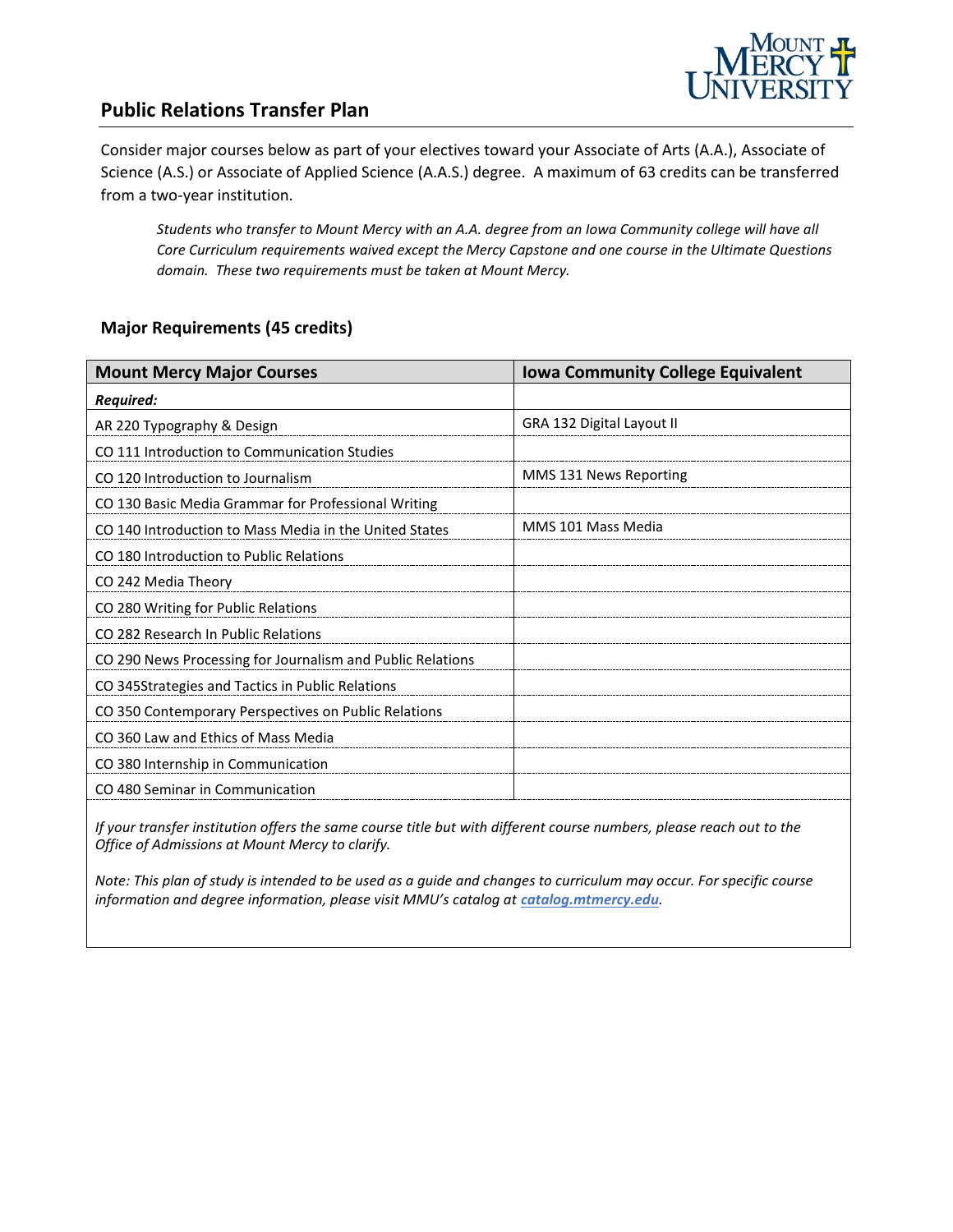

## **Public Relations Transfer Plan**

Consider major courses below as part of your electives toward your Associate of Arts (A.A.), Associate of Science (A.S.) or Associate of Applied Science (A.A.S.) degree. A maximum of 63 credits can be transferred from a two-year institution.

*Students who transfer to Mount Mercy with an A.A. degree from an Iowa Community college will have all Core Curriculum requirements waived except the Mercy Capstone and one course in the Ultimate Questions domain. These two requirements must be taken at Mount Mercy.* 

#### **Major Requirements (45 credits)**

| <b>Mount Mercy Major Courses</b>                           | <b>Iowa Community College Equivalent</b> |
|------------------------------------------------------------|------------------------------------------|
| <b>Required:</b>                                           |                                          |
| AR 220 Typography & Design                                 | GRA 132 Digital Layout II                |
| CO 111 Introduction to Communication Studies               |                                          |
| CO 120 Introduction to Journalism                          | MMS 131 News Reporting                   |
| CO 130 Basic Media Grammar for Professional Writing        |                                          |
| CO 140 Introduction to Mass Media in the United States     | MMS 101 Mass Media                       |
| CO 180 Introduction to Public Relations                    |                                          |
| CO 242 Media Theory                                        |                                          |
| CO 280 Writing for Public Relations                        |                                          |
| CO 282 Research In Public Relations                        |                                          |
| CO 290 News Processing for Journalism and Public Relations |                                          |
| CO 345 Strategies and Tactics in Public Relations          |                                          |
| CO 350 Contemporary Perspectives on Public Relations       |                                          |
| CO 360 Law and Ethics of Mass Media                        |                                          |
| CO 380 Internship in Communication                         |                                          |
| CO 480 Seminar in Communication                            |                                          |

*If your transfer institution offers the same course title but with different course numbers, please reach out to the Office of Admissions at Mount Mercy to clarify.*

*Note: This plan of study is intended to be used as a guide and changes to curriculum may occur. For specific course*  information and degree information, please visit MMU's catalog at **catalog.mtmercy.edu**.